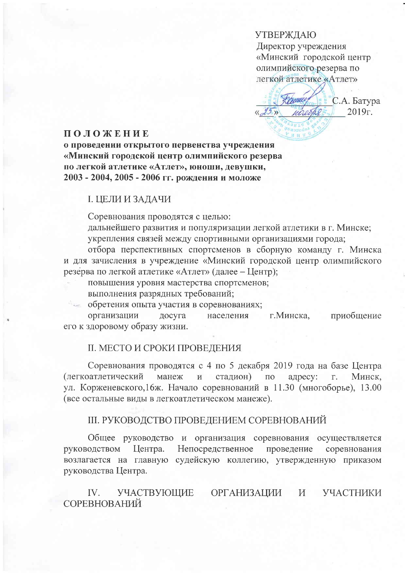**УТВЕРЖДАЮ** Директор учреждения «Минский городской центр олимпийского резерва по легкой атлетике «Атлет»

В С.А. Батура man  $2019r.$ ucesse  $2<sub>2</sub>$ 

### **ПОЛОЖЕНИЕ**

о проведении открытого первенства учреждения «Минский городской центр олимпийского резерва по легкой атлетике «Атлет», юноши, девушки, 2003 - 2004, 2005 - 2006 гг. рождения и моложе

### І. ЦЕЛИ И ЗАДАЧИ

Соревнования проводятся с целью:

дальнейшего развития и популяризации легкой атлетики в г. Минске; укрепления связей между спортивными организациями города;

отбора перспективных спортсменов в сборную команду г. Минска и для зачисления в учреждение «Минский городской центр олимпийского резерва по легкой атлетике «Атлет» (далее - Центр);

повышения уровня мастерства спортсменов;

выполнения разрядных требований;

обретения опыта участия в соревнованиях;

организации досуга населения приобщение г. Минска, его к здоровому образу жизни.

## **II. МЕСТО И СРОКИ ПРОВЕДЕНИЯ**

Соревнования проводятся с 4 по 5 декабря 2019 года на базе Центра манеж и стадион) (легкоатлетический  $\Pi$ O адресу:  $\Gamma$ . Минск. ул. Корженевского, 16ж. Начало соревнований в 11.30 (многоборье), 13.00 (все остальные виды в легкоатлетическом манеже).

# **III. РУКОВОДСТВО ПРОВЕДЕНИЕМ СОРЕВНОВАНИЙ**

Общее руководство и организация соревнования осуществляется Непосредственное проведение руководством Центра. соревнования возлагается на главную судейскую коллегию, утвержденную приказом руководства Центра.

УЧАСТВУЮЩИЕ УЧАСТНИКИ IV. **ОРГАНИЗАЦИИ** И СОРЕВНОВАНИЙ